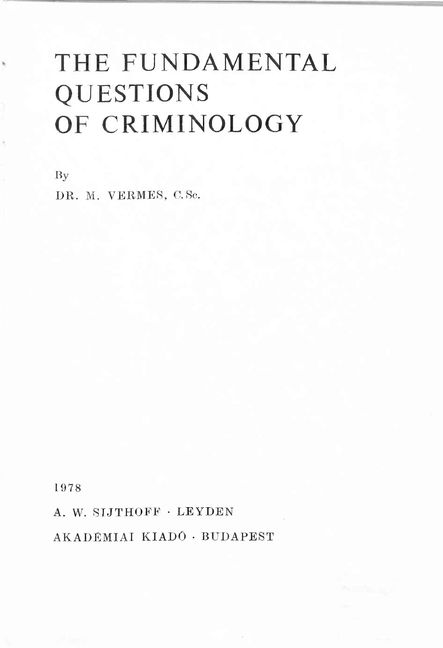# THE FUNDAMENTAL QUESTIONS OF CRIMINOLOGY

By

DR. M. VERMES, C. Sc.

1978

A. W. SIJTHOFF · LEYDEN

AK A DÉMIAI KIADÓ · BUDAPEST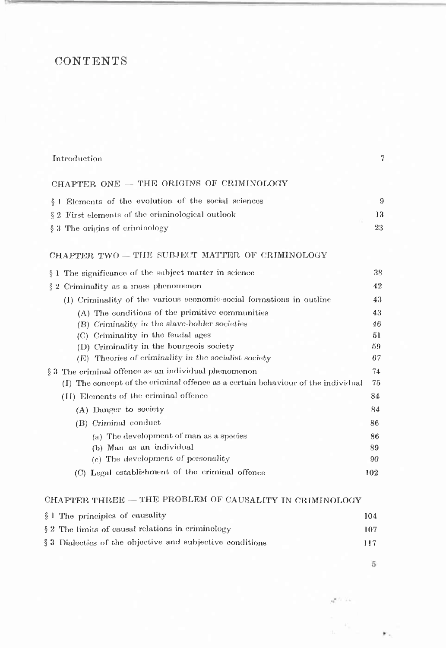### **CONTENTS**

| Introduction                                                                     | 7   |
|----------------------------------------------------------------------------------|-----|
| CHAPTER ONE - THE ORIGINS OF CRIMINOLOGY                                         |     |
| § 1 Elements of the evolution of the social sciences                             | 9   |
| § 2 First elements of the criminological outlook                                 | 13  |
| § 3 The origins of criminology                                                   | 23  |
| CHAPTER TWO - THE SUBJECT MATTER OF CRIMINOLOGY                                  |     |
| § 1 The significance of the subject matter in science                            | 38  |
| $§$ 2 Criminality as a mass phenomenon                                           | 42  |
| (I) Criminality of the various economic-social formations in outline             | 43  |
| (A) The conditions of the primitive communities                                  | 43  |
| (B) Criminality in the slave-holder societies                                    | 46  |
| (C) Criminality in the feudal ages                                               | 51  |
| (D) Criminality in the bourgeois society                                         | 59  |
| (E) Theories of criminality in the socialist society                             | 67  |
| § 3 The criminal offence as an individual phenomenon                             | 74  |
| (I) The concept of the criminal offence as a certain behaviour of the individual | 75  |
| (II) Elements of the criminal offence                                            | 84  |
| (A) Danger to society                                                            | 84  |
| (B) Criminal conduct                                                             | 86  |
| (a) The development of man as a species                                          | 86  |
| (b) Man as an individual                                                         | 89  |
| (c) The development of personality                                               | 90  |
| (C) Legal establishment of the criminal offence                                  | 102 |

#### CHAPTER THREE — THE PROBLEM OF CAUSALITY IN CRIMINOLOGY

| § 1 The principles of causality                           | 104 |
|-----------------------------------------------------------|-----|
| $\S 2$ The limits of causal relations in criminology      | 107 |
| § 3 Dialectics of the objective and subjective conditions | 117 |

 $\sqrt{5}$ 

٠.

 $\mathbf{q}^{\text{max}}$